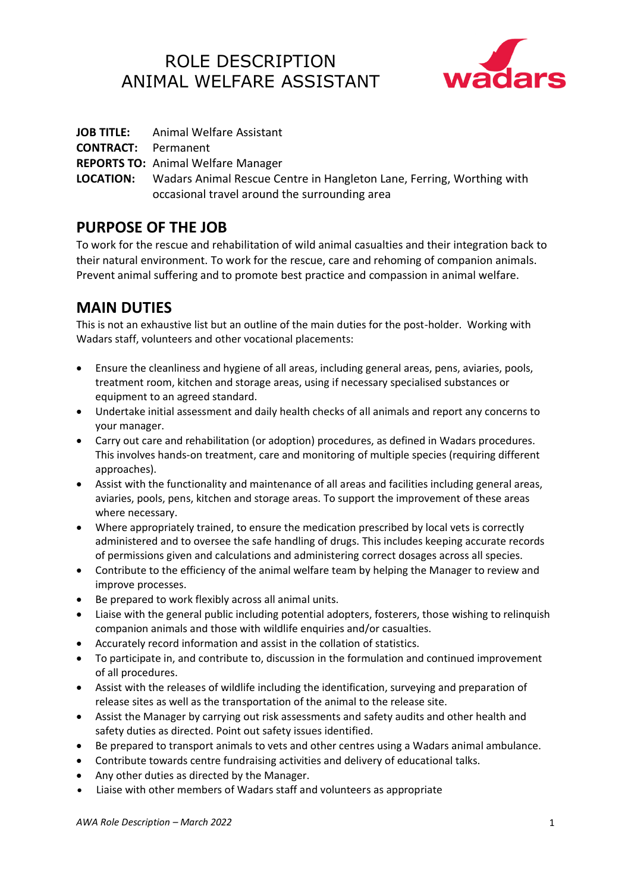# ROLE DESCRIPTION ANIMAL WELFARE ASSISTANT



**JOB TITLE:** Animal Welfare Assistant

**CONTRACT:** Permanent

**REPORTS TO:** Animal Welfare Manager

**LOCATION:** Wadars Animal Rescue Centre in Hangleton Lane, Ferring, Worthing with occasional travel around the surrounding area

## **PURPOSE OF THE JOB**

To work for the rescue and rehabilitation of wild animal casualties and their integration back to their natural environment. To work for the rescue, care and rehoming of companion animals. Prevent animal suffering and to promote best practice and compassion in animal welfare.

# **MAIN DUTIES**

This is not an exhaustive list but an outline of the main duties for the post-holder. Working with Wadars staff, volunteers and other vocational placements:

- Ensure the cleanliness and hygiene of all areas, including general areas, pens, aviaries, pools, treatment room, kitchen and storage areas, using if necessary specialised substances or equipment to an agreed standard.
- Undertake initial assessment and daily health checks of all animals and report any concerns to your manager.
- Carry out care and rehabilitation (or adoption) procedures, as defined in Wadars procedures. This involves hands-on treatment, care and monitoring of multiple species (requiring different approaches).
- Assist with the functionality and maintenance of all areas and facilities including general areas, aviaries, pools, pens, kitchen and storage areas. To support the improvement of these areas where necessary.
- Where appropriately trained, to ensure the medication prescribed by local vets is correctly administered and to oversee the safe handling of drugs. This includes keeping accurate records of permissions given and calculations and administering correct dosages across all species.
- Contribute to the efficiency of the animal welfare team by helping the Manager to review and improve processes.
- Be prepared to work flexibly across all animal units.
- Liaise with the general public including potential adopters, fosterers, those wishing to relinquish companion animals and those with wildlife enquiries and/or casualties.
- Accurately record information and assist in the collation of statistics.
- To participate in, and contribute to, discussion in the formulation and continued improvement of all procedures.
- Assist with the releases of wildlife including the identification, surveying and preparation of release sites as well as the transportation of the animal to the release site.
- Assist the Manager by carrying out risk assessments and safety audits and other health and safety duties as directed. Point out safety issues identified.
- Be prepared to transport animals to vets and other centres using a Wadars animal ambulance.
- Contribute towards centre fundraising activities and delivery of educational talks.
- Any other duties as directed by the Manager.
- Liaise with other members of Wadars staff and volunteers as appropriate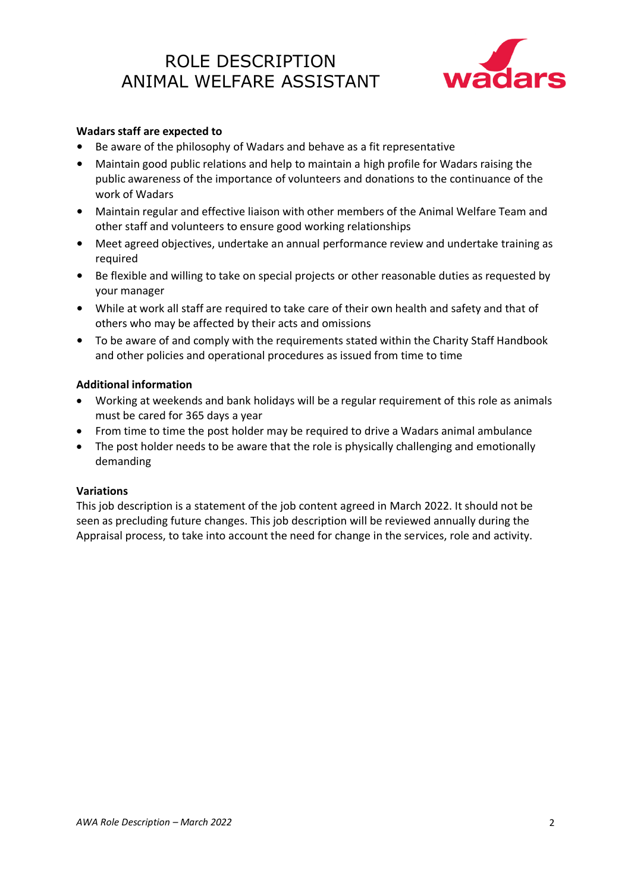# ROLE DESCRIPTION ANIMAL WELFARE ASSISTANT



### **Wadars staff are expected to**

- Be aware of the philosophy of Wadars and behave as a fit representative
- Maintain good public relations and help to maintain a high profile for Wadars raising the public awareness of the importance of volunteers and donations to the continuance of the work of Wadars
- Maintain regular and effective liaison with other members of the Animal Welfare Team and other staff and volunteers to ensure good working relationships
- Meet agreed objectives, undertake an annual performance review and undertake training as required
- Be flexible and willing to take on special projects or other reasonable duties as requested by your manager
- While at work all staff are required to take care of their own health and safety and that of others who may be affected by their acts and omissions
- To be aware of and comply with the requirements stated within the Charity Staff Handbook and other policies and operational procedures as issued from time to time

#### **Additional information**

- Working at weekends and bank holidays will be a regular requirement of this role as animals must be cared for 365 days a year
- From time to time the post holder may be required to drive a Wadars animal ambulance
- The post holder needs to be aware that the role is physically challenging and emotionally demanding

#### **Variations**

This job description is a statement of the job content agreed in March 2022. It should not be seen as precluding future changes. This job description will be reviewed annually during the Appraisal process, to take into account the need for change in the services, role and activity.